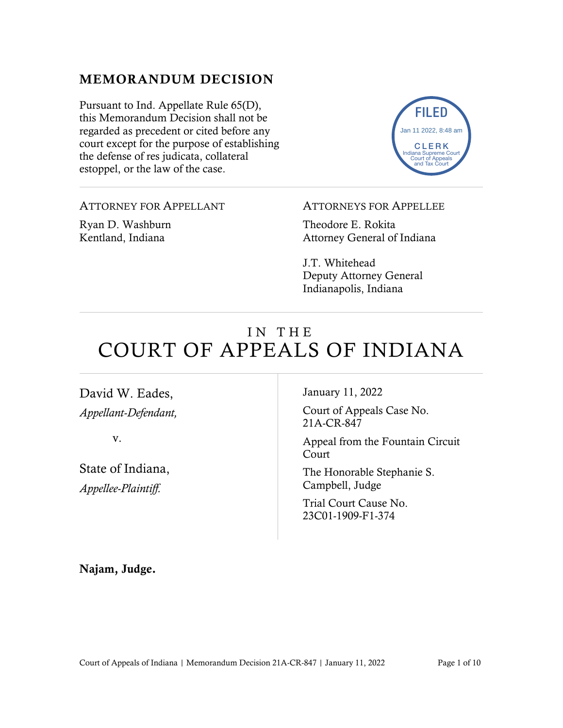## MEMORANDUM DECISION

Pursuant to Ind. Appellate Rule 65(D), this Memorandum Decision shall not be regarded as precedent or cited before any court except for the purpose of establishing the defense of res judicata, collateral estoppel, or the law of the case.

ATTORNEY FOR APPELLANT

Ryan D. Washburn Kentland, Indiana

#### ATTORNEYS FOR APPELLEE

FILED

CLERK diana Supreme C Court of Appeals and Tax Court

Jan 11 2022, 8:48 am

Theodore E. Rokita Attorney General of Indiana

J.T. Whitehead Deputy Attorney General Indianapolis, Indiana

# IN THE COURT OF APPEALS OF INDIANA

David W. Eades, *Appellant-Defendant,*

v.

State of Indiana, *Appellee-Plaintiff.*

January 11, 2022

Court of Appeals Case No. 21A-CR-847

Appeal from the Fountain Circuit Court

The Honorable Stephanie S. Campbell, Judge

Trial Court Cause No. 23C01-1909-F1-374

Najam, Judge.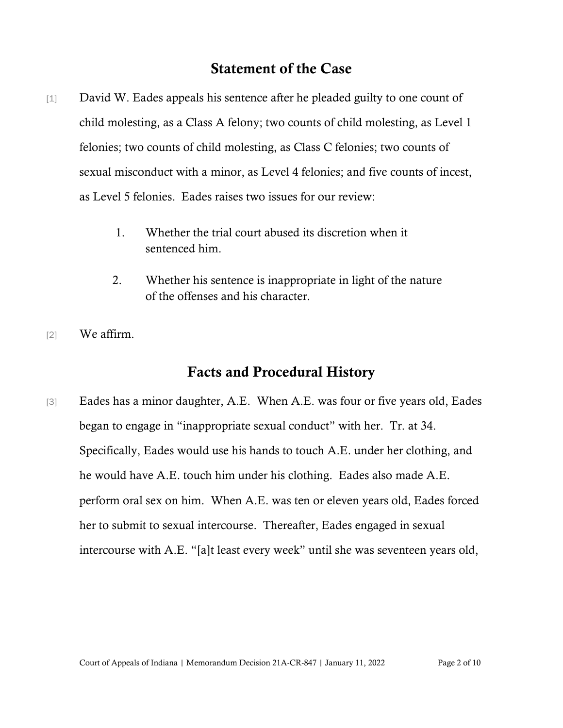## Statement of the Case

- [1] David W. Eades appeals his sentence after he pleaded guilty to one count of child molesting, as a Class A felony; two counts of child molesting, as Level 1 felonies; two counts of child molesting, as Class C felonies; two counts of sexual misconduct with a minor, as Level 4 felonies; and five counts of incest, as Level 5 felonies. Eades raises two issues for our review:
	- 1. Whether the trial court abused its discretion when it sentenced him.
	- 2. Whether his sentence is inappropriate in light of the nature of the offenses and his character.
- [2] We affirm.

## Facts and Procedural History

[3] Eades has a minor daughter, A.E. When A.E. was four or five years old, Eades began to engage in "inappropriate sexual conduct" with her. Tr. at 34. Specifically, Eades would use his hands to touch A.E. under her clothing, and he would have A.E. touch him under his clothing. Eades also made A.E. perform oral sex on him. When A.E. was ten or eleven years old, Eades forced her to submit to sexual intercourse. Thereafter, Eades engaged in sexual intercourse with A.E. "[a]t least every week" until she was seventeen years old,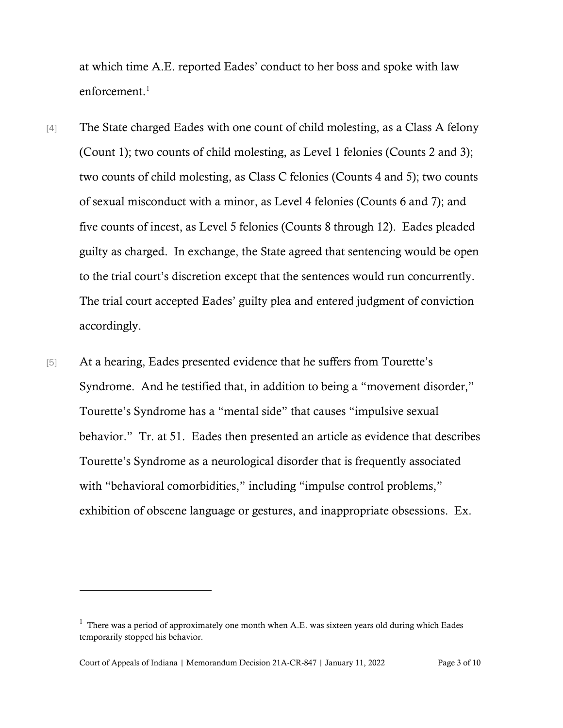at which time A.E. reported Eades' conduct to her boss and spoke with law enforcement.<sup>[1](#page-2-0)</sup>

- [4] The State charged Eades with one count of child molesting, as a Class A felony (Count 1); two counts of child molesting, as Level 1 felonies (Counts 2 and 3); two counts of child molesting, as Class C felonies (Counts 4 and 5); two counts of sexual misconduct with a minor, as Level 4 felonies (Counts 6 and 7); and five counts of incest, as Level 5 felonies (Counts 8 through 12). Eades pleaded guilty as charged. In exchange, the State agreed that sentencing would be open to the trial court's discretion except that the sentences would run concurrently. The trial court accepted Eades' guilty plea and entered judgment of conviction accordingly.
- [5] At a hearing, Eades presented evidence that he suffers from Tourette's Syndrome. And he testified that, in addition to being a "movement disorder," Tourette's Syndrome has a "mental side" that causes "impulsive sexual behavior." Tr. at 51. Eades then presented an article as evidence that describes Tourette's Syndrome as a neurological disorder that is frequently associated with "behavioral comorbidities," including "impulse control problems," exhibition of obscene language or gestures, and inappropriate obsessions. Ex.

<span id="page-2-0"></span> $<sup>1</sup>$  There was a period of approximately one month when A.E. was sixteen years old during which Eades</sup> temporarily stopped his behavior.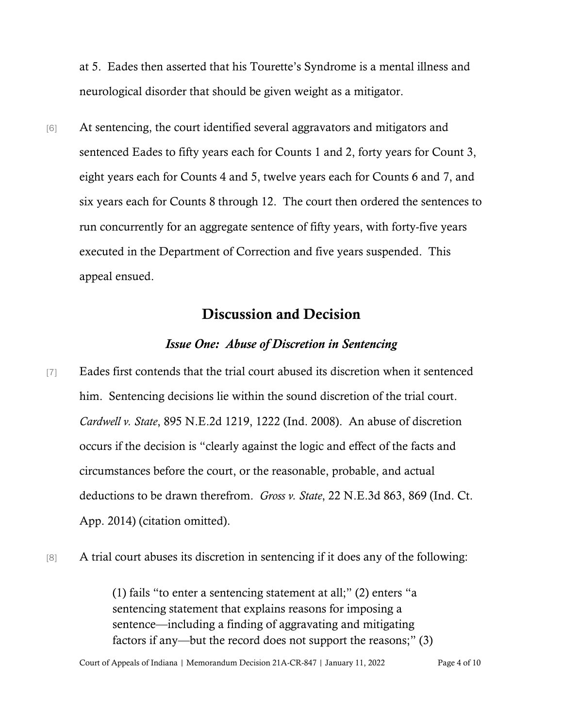at 5. Eades then asserted that his Tourette's Syndrome is a mental illness and neurological disorder that should be given weight as a mitigator.

[6] At sentencing, the court identified several aggravators and mitigators and sentenced Eades to fifty years each for Counts 1 and 2, forty years for Count 3, eight years each for Counts 4 and 5, twelve years each for Counts 6 and 7, and six years each for Counts 8 through 12. The court then ordered the sentences to run concurrently for an aggregate sentence of fifty years, with forty-five years executed in the Department of Correction and five years suspended. This appeal ensued.

### Discussion and Decision

#### *Issue One: Abuse of Discretion in Sentencing*

- [7] Eades first contends that the trial court abused its discretion when it sentenced him. Sentencing decisions lie within the sound discretion of the trial court. *Cardwell v. State*, 895 N.E.2d 1219, 1222 (Ind. 2008). An abuse of discretion occurs if the decision is "clearly against the logic and effect of the facts and circumstances before the court, or the reasonable, probable, and actual deductions to be drawn therefrom. *Gross v. State*, 22 N.E.3d 863, 869 (Ind. Ct. App. 2014) (citation omitted).
- [8] A trial court abuses its discretion in sentencing if it does any of the following:

(1) fails "to enter a sentencing statement at all;" (2) enters "a sentencing statement that explains reasons for imposing a sentence—including a finding of aggravating and mitigating factors if any—but the record does not support the reasons;" (3)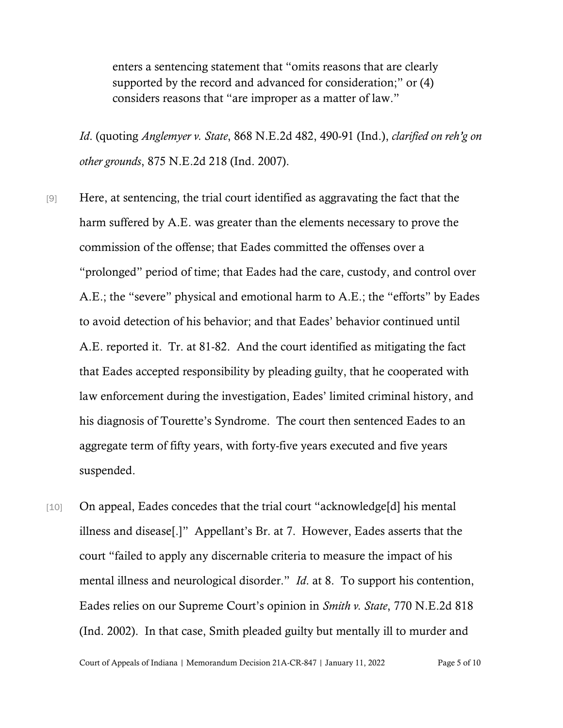enters a sentencing statement that "omits reasons that are clearly supported by the record and advanced for consideration;" or (4) considers reasons that "are improper as a matter of law."

*Id*. (quoting *Anglemyer v. State*, 868 N.E.2d 482, 490-91 (Ind.), *clarified on reh'g on other grounds*, 875 N.E.2d 218 (Ind. 2007).

[9] Here, at sentencing, the trial court identified as aggravating the fact that the harm suffered by A.E. was greater than the elements necessary to prove the commission of the offense; that Eades committed the offenses over a "prolonged" period of time; that Eades had the care, custody, and control over A.E.; the "severe" physical and emotional harm to A.E.; the "efforts" by Eades to avoid detection of his behavior; and that Eades' behavior continued until A.E. reported it. Tr. at 81-82. And the court identified as mitigating the fact that Eades accepted responsibility by pleading guilty, that he cooperated with law enforcement during the investigation, Eades' limited criminal history, and his diagnosis of Tourette's Syndrome. The court then sentenced Eades to an aggregate term of fifty years, with forty-five years executed and five years suspended.

[10] On appeal, Eades concedes that the trial court "acknowledge[d] his mental illness and disease[.]" Appellant's Br. at 7. However, Eades asserts that the court "failed to apply any discernable criteria to measure the impact of his mental illness and neurological disorder." *Id*. at 8. To support his contention, Eades relies on our Supreme Court's opinion in *Smith v. State*, 770 N.E.2d 818 (Ind. 2002). In that case, Smith pleaded guilty but mentally ill to murder and

Court of Appeals of Indiana | Memorandum Decision 21A-CR-847 | January 11, 2022 Page 5 of 10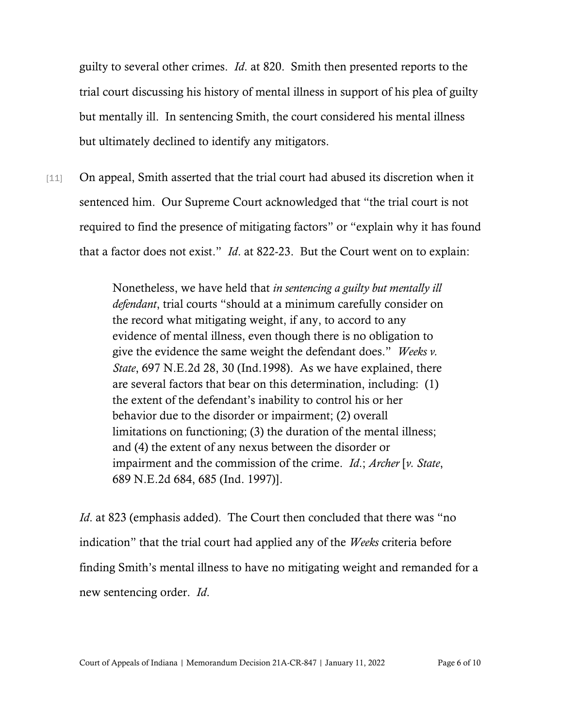guilty to several other crimes. *Id*. at 820. Smith then presented reports to the trial court discussing his history of mental illness in support of his plea of guilty but mentally ill. In sentencing Smith, the court considered his mental illness but ultimately declined to identify any mitigators.

[11] On appeal, Smith asserted that the trial court had abused its discretion when it sentenced him. Our Supreme Court acknowledged that "the trial court is not required to find the presence of mitigating factors" or "explain why it has found that a factor does not exist." *Id*. at 822-23. But the Court went on to explain:

> Nonetheless, we have held that *in sentencing a guilty but mentally ill defendant*, trial courts "should at a minimum carefully consider on the record what mitigating weight, if any, to accord to any evidence of mental illness, even though there is no obligation to give the evidence the same weight the defendant does." *Weeks v. State*, 697 N.E.2d 28, 30 (Ind.1998). As we have explained, there are several factors that bear on this determination, including: (1) the extent of the defendant's inability to control his or her behavior due to the disorder or impairment; (2) overall limitations on functioning; (3) the duration of the mental illness; and (4) the extent of any nexus between the disorder or impairment and the commission of the crime. *Id*.; *Archer* [*v. State*, 689 N.E.2d 684, 685 (Ind. 1997)].

*Id.* at 823 (emphasis added). The Court then concluded that there was "no indication" that the trial court had applied any of the *Weeks* criteria before finding Smith's mental illness to have no mitigating weight and remanded for a new sentencing order. *Id*.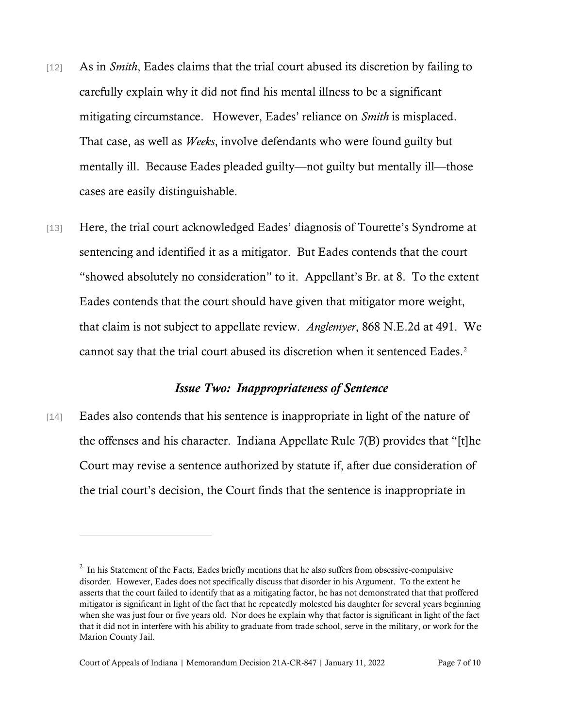- [12] As in *Smith*, Eades claims that the trial court abused its discretion by failing to carefully explain why it did not find his mental illness to be a significant mitigating circumstance. However, Eades' reliance on *Smith* is misplaced. That case, as well as *Weeks*, involve defendants who were found guilty but mentally ill. Because Eades pleaded guilty—not guilty but mentally ill—those cases are easily distinguishable.
- [13] Here, the trial court acknowledged Eades' diagnosis of Tourette's Syndrome at sentencing and identified it as a mitigator. But Eades contends that the court "showed absolutely no consideration" to it. Appellant's Br. at 8. To the extent Eades contends that the court should have given that mitigator more weight, that claim is not subject to appellate review. *Anglemyer*, 868 N.E.2d at 491. We cannot say that the trial court abused its discretion when it sentenced Eades.<sup>2</sup>

#### *Issue Two: Inappropriateness of Sentence*

[14] Eades also contends that his sentence is inappropriate in light of the nature of the offenses and his character. [Indiana Appellate Rule 7\(B\)](https://1.next.westlaw.com/Link/Document/FullText?findType=L&pubNum=1007025&cite=INSRAPR7&originatingDoc=I0c1a6460e39411e692ccd0392c3f85a3&refType=LQ&originationContext=document&transitionType=DocumentItem&contextData=(sc.Keycite)) provides that "[t]he Court may revise a sentence authorized by statute if, after due consideration of the trial court's decision, the Court finds that the sentence is inappropriate in

<span id="page-6-0"></span> $2\;$  In his Statement of the Facts, Eades briefly mentions that he also suffers from obsessive-compulsive disorder. However, Eades does not specifically discuss that disorder in his Argument. To the extent he asserts that the court failed to identify that as a mitigating factor, he has not demonstrated that that proffered mitigator is significant in light of the fact that he repeatedly molested his daughter for several years beginning when she was just four or five years old. Nor does he explain why that factor is significant in light of the fact that it did not in interfere with his ability to graduate from trade school, serve in the military, or work for the Marion County Jail.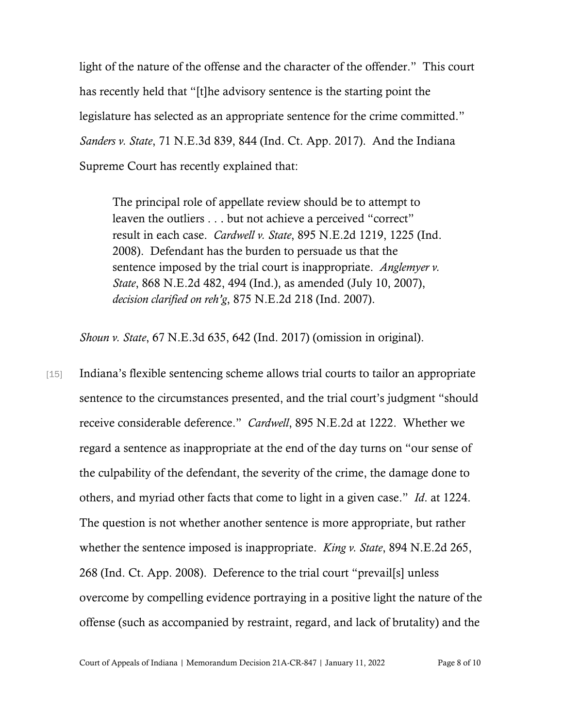light of the nature of the offense and the character of the offender." This court has recently held that "[t]he advisory sentence is the starting point the legislature has selected as an appropriate sentence for the crime committed." *Sanders v. State*, 71 N.E.3d 839, 844 (Ind. Ct. App. 2017). And the Indiana Supreme Court has recently explained that:

The principal role of appellate review should be to attempt to leaven the outliers . . . but not achieve a perceived "correct" result in each case. *Cardwell v. State*[, 895 N.E.2d 1219, 1225 \(Ind.](https://1.next.westlaw.com/Link/Document/FullText?findType=Y&serNum=2017439923&pubNum=0000578&originatingDoc=I0c1a6460e39411e692ccd0392c3f85a3&refType=RP&fi=co_pp_sp_578_1225&originationContext=document&transitionType=DocumentItem&contextData=(sc.Keycite)#co_pp_sp_578_1225)  [2008\).](https://1.next.westlaw.com/Link/Document/FullText?findType=Y&serNum=2017439923&pubNum=0000578&originatingDoc=I0c1a6460e39411e692ccd0392c3f85a3&refType=RP&fi=co_pp_sp_578_1225&originationContext=document&transitionType=DocumentItem&contextData=(sc.Keycite)#co_pp_sp_578_1225) Defendant has the burden to persuade us that the sentence imposed by the trial court is inappropriate. *[Anglemyer v.](https://1.next.westlaw.com/Link/Document/FullText?findType=Y&serNum=2012545885&pubNum=0000578&originatingDoc=I0c1a6460e39411e692ccd0392c3f85a3&refType=RP&fi=co_pp_sp_578_494&originationContext=document&transitionType=DocumentItem&contextData=(sc.Keycite)#co_pp_sp_578_494)  [State](https://1.next.westlaw.com/Link/Document/FullText?findType=Y&serNum=2012545885&pubNum=0000578&originatingDoc=I0c1a6460e39411e692ccd0392c3f85a3&refType=RP&fi=co_pp_sp_578_494&originationContext=document&transitionType=DocumentItem&contextData=(sc.Keycite)#co_pp_sp_578_494)*[, 868 N.E.2d 482, 494 \(Ind.\),](https://1.next.westlaw.com/Link/Document/FullText?findType=Y&serNum=2012545885&pubNum=0000578&originatingDoc=I0c1a6460e39411e692ccd0392c3f85a3&refType=RP&fi=co_pp_sp_578_494&originationContext=document&transitionType=DocumentItem&contextData=(sc.Keycite)#co_pp_sp_578_494) as amended (July 10, 2007), *decision clarified on reh'g*, [875 N.E.2d 218 \(Ind. 2007\).](https://1.next.westlaw.com/Link/Document/FullText?findType=Y&serNum=2013865237&pubNum=0000578&originatingDoc=I0c1a6460e39411e692ccd0392c3f85a3&refType=RP&originationContext=document&transitionType=DocumentItem&contextData=(sc.Keycite))

*Shoun v. State*, 67 N.E.3d 635, 642 (Ind. 2017) (omission in original).

[15] Indiana's flexible sentencing scheme allows trial courts to tailor an appropriate sentence to the circumstances presented, and the trial court's judgment "should receive considerable deference." *Cardwell*, 895 N.E.2d at 1222. Whether we regard a sentence as inappropriate at the end of the day turns on "our sense of the culpability of the defendant, the severity of the crime, the damage done to others, and myriad other facts that come to light in a given case." *Id*. at 1224. The question is not whether another sentence is more appropriate, but rather whether the sentence imposed is inappropriate. *King v. State*, 894 N.E.2d 265, 268 (Ind. Ct. App. 2008). Deference to the trial court "prevail[s] unless overcome by compelling evidence portraying in a positive light the nature of the offense (such as accompanied by restraint, regard, and lack of brutality) and the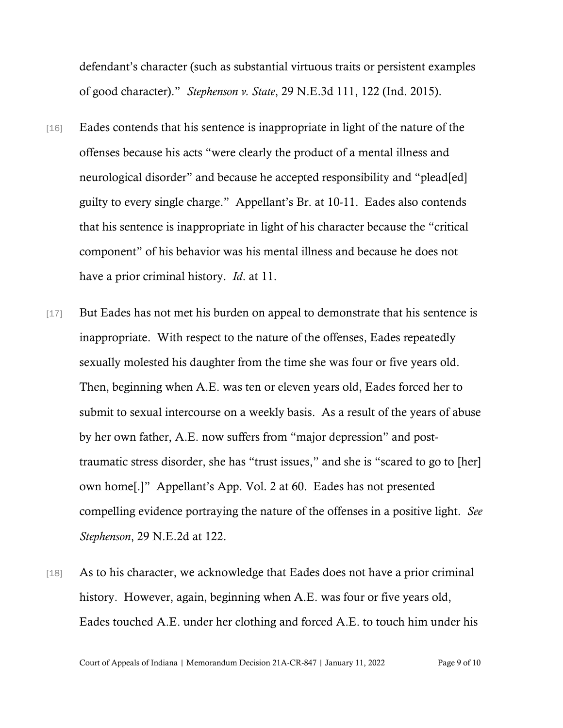defendant's character (such as substantial virtuous traits or persistent examples of good character)." *Stephenson v. State*, 29 N.E.3d 111, 122 (Ind. 2015).

- [16] Eades contends that his sentence is inappropriate in light of the nature of the offenses because his acts "were clearly the product of a mental illness and neurological disorder" and because he accepted responsibility and "plead[ed] guilty to every single charge." Appellant's Br. at 10-11. Eades also contends that his sentence is inappropriate in light of his character because the "critical component" of his behavior was his mental illness and because he does not have a prior criminal history. *Id*. at 11.
- [17] But Eades has not met his burden on appeal to demonstrate that his sentence is inappropriate. With respect to the nature of the offenses, Eades repeatedly sexually molested his daughter from the time she was four or five years old. Then, beginning when A.E. was ten or eleven years old, Eades forced her to submit to sexual intercourse on a weekly basis. As a result of the years of abuse by her own father, A.E. now suffers from "major depression" and posttraumatic stress disorder, she has "trust issues," and she is "scared to go to [her] own home[.]" Appellant's App. Vol. 2 at 60. Eades has not presented compelling evidence portraying the nature of the offenses in a positive light. *See Stephenson*, 29 N.E.2d at 122.
- [18] As to his character, we acknowledge that Eades does not have a prior criminal history. However, again, beginning when A.E. was four or five years old, Eades touched A.E. under her clothing and forced A.E. to touch him under his

Court of Appeals of Indiana | Memorandum Decision 21A-CR-847 | January 11, 2022 Page 9 of 10